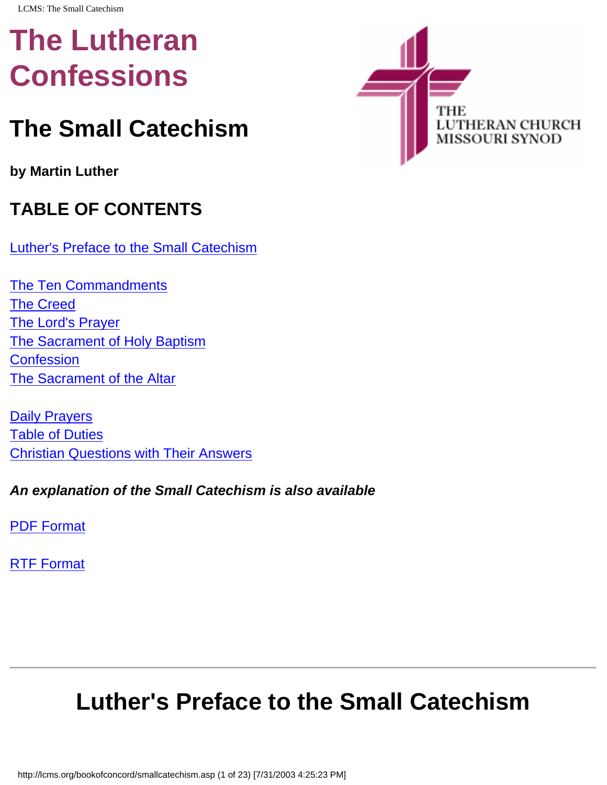# **The Lutheran Confessions**

## **The Small Catechism**

<span id="page-0-1"></span>**by Martin Luther**

## **TABLE OF CONTENTS**

[Luther's Preface to the Small Catechism](#page-0-0)

[The Ten Commandments](#page-3-0) [The Creed](#page-6-0) [The Lord's Prayer](#page-7-0) [The Sacrament of Holy Baptism](#page-10-0) **[Confession](#page-11-0)** [The Sacrament of the Altar](#page-13-0)

**[Daily Prayers](#page-14-0)** [Table of Duties](#page-16-0) [Christian Questions with Their Answers](#page-19-0)

*An explanation of the Small Catechism is also available*

[PDF Format](explanation.pdf)

[RTF Format](explanation.rtf)



## <span id="page-0-0"></span>**Luther's Preface to the Small Catechism**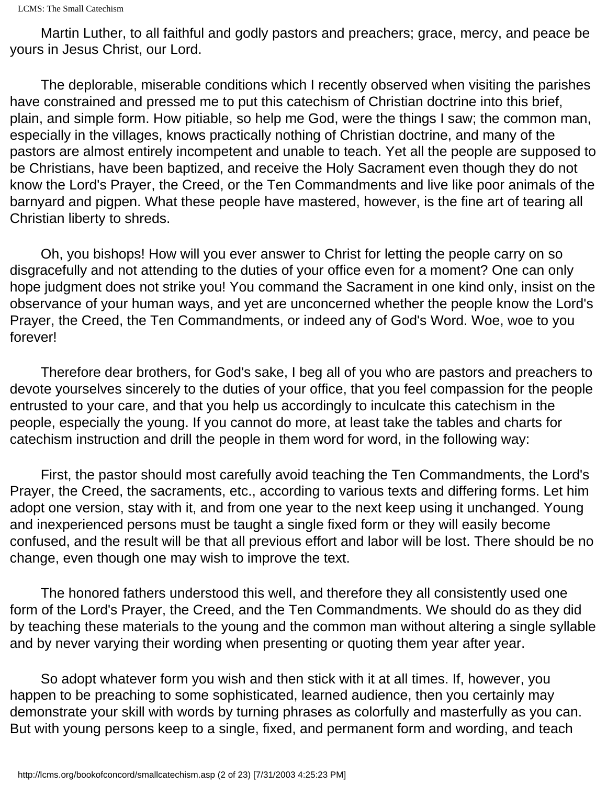```
LCMS: The Small Catechism
```
 Martin Luther, to all faithful and godly pastors and preachers; grace, mercy, and peace be yours in Jesus Christ, our Lord.

 The deplorable, miserable conditions which I recently observed when visiting the parishes have constrained and pressed me to put this catechism of Christian doctrine into this brief, plain, and simple form. How pitiable, so help me God, were the things I saw; the common man, especially in the villages, knows practically nothing of Christian doctrine, and many of the pastors are almost entirely incompetent and unable to teach. Yet all the people are supposed to be Christians, have been baptized, and receive the Holy Sacrament even though they do not know the Lord's Prayer, the Creed, or the Ten Commandments and live like poor animals of the barnyard and pigpen. What these people have mastered, however, is the fine art of tearing all Christian liberty to shreds.

 Oh, you bishops! How will you ever answer to Christ for letting the people carry on so disgracefully and not attending to the duties of your office even for a moment? One can only hope judgment does not strike you! You command the Sacrament in one kind only, insist on the observance of your human ways, and yet are unconcerned whether the people know the Lord's Prayer, the Creed, the Ten Commandments, or indeed any of God's Word. Woe, woe to you forever!

 Therefore dear brothers, for God's sake, I beg all of you who are pastors and preachers to devote yourselves sincerely to the duties of your office, that you feel compassion for the people entrusted to your care, and that you help us accordingly to inculcate this catechism in the people, especially the young. If you cannot do more, at least take the tables and charts for catechism instruction and drill the people in them word for word, in the following way:

 First, the pastor should most carefully avoid teaching the Ten Commandments, the Lord's Prayer, the Creed, the sacraments, etc., according to various texts and differing forms. Let him adopt one version, stay with it, and from one year to the next keep using it unchanged. Young and inexperienced persons must be taught a single fixed form or they will easily become confused, and the result will be that all previous effort and labor will be lost. There should be no change, even though one may wish to improve the text.

 The honored fathers understood this well, and therefore they all consistently used one form of the Lord's Prayer, the Creed, and the Ten Commandments. We should do as they did by teaching these materials to the young and the common man without altering a single syllable and by never varying their wording when presenting or quoting them year after year.

 So adopt whatever form you wish and then stick with it at all times. If, however, you happen to be preaching to some sophisticated, learned audience, then you certainly may demonstrate your skill with words by turning phrases as colorfully and masterfully as you can. But with young persons keep to a single, fixed, and permanent form and wording, and teach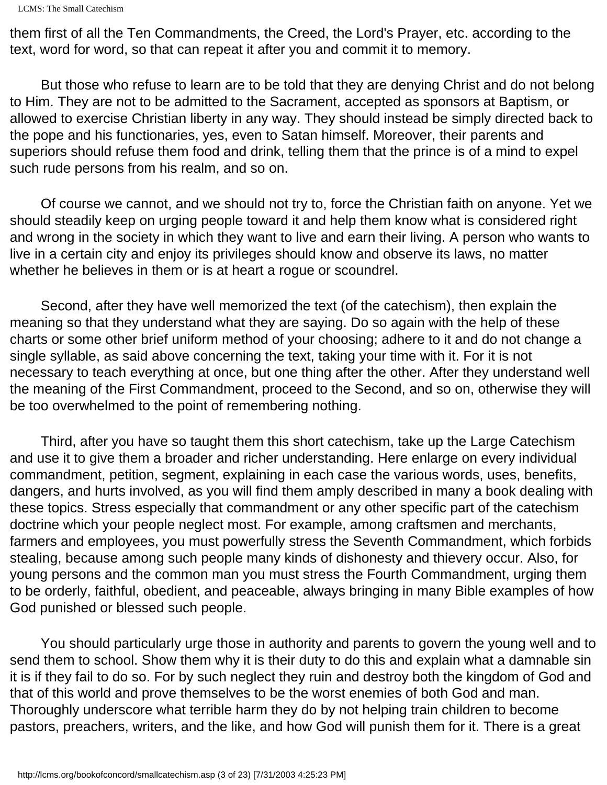them first of all the Ten Commandments, the Creed, the Lord's Prayer, etc. according to the text, word for word, so that can repeat it after you and commit it to memory.

 But those who refuse to learn are to be told that they are denying Christ and do not belong to Him. They are not to be admitted to the Sacrament, accepted as sponsors at Baptism, or allowed to exercise Christian liberty in any way. They should instead be simply directed back to the pope and his functionaries, yes, even to Satan himself. Moreover, their parents and superiors should refuse them food and drink, telling them that the prince is of a mind to expel such rude persons from his realm, and so on.

 Of course we cannot, and we should not try to, force the Christian faith on anyone. Yet we should steadily keep on urging people toward it and help them know what is considered right and wrong in the society in which they want to live and earn their living. A person who wants to live in a certain city and enjoy its privileges should know and observe its laws, no matter whether he believes in them or is at heart a rogue or scoundrel.

 Second, after they have well memorized the text (of the catechism), then explain the meaning so that they understand what they are saying. Do so again with the help of these charts or some other brief uniform method of your choosing; adhere to it and do not change a single syllable, as said above concerning the text, taking your time with it. For it is not necessary to teach everything at once, but one thing after the other. After they understand well the meaning of the First Commandment, proceed to the Second, and so on, otherwise they will be too overwhelmed to the point of remembering nothing.

 Third, after you have so taught them this short catechism, take up the Large Catechism and use it to give them a broader and richer understanding. Here enlarge on every individual commandment, petition, segment, explaining in each case the various words, uses, benefits, dangers, and hurts involved, as you will find them amply described in many a book dealing with these topics. Stress especially that commandment or any other specific part of the catechism doctrine which your people neglect most. For example, among craftsmen and merchants, farmers and employees, you must powerfully stress the Seventh Commandment, which forbids stealing, because among such people many kinds of dishonesty and thievery occur. Also, for young persons and the common man you must stress the Fourth Commandment, urging them to be orderly, faithful, obedient, and peaceable, always bringing in many Bible examples of how God punished or blessed such people.

 You should particularly urge those in authority and parents to govern the young well and to send them to school. Show them why it is their duty to do this and explain what a damnable sin it is if they fail to do so. For by such neglect they ruin and destroy both the kingdom of God and that of this world and prove themselves to be the worst enemies of both God and man. Thoroughly underscore what terrible harm they do by not helping train children to become pastors, preachers, writers, and the like, and how God will punish them for it. There is a great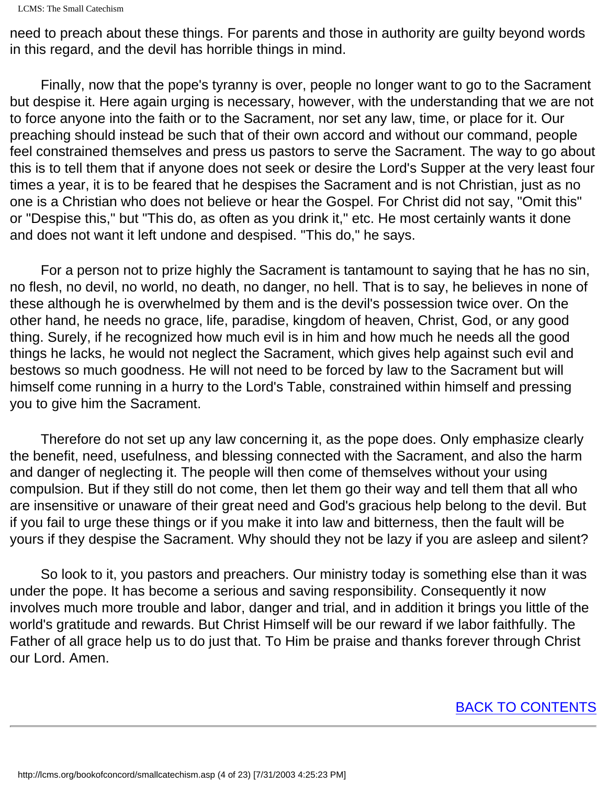```
LCMS: The Small Catechism
```
need to preach about these things. For parents and those in authority are guilty beyond words in this regard, and the devil has horrible things in mind.

 Finally, now that the pope's tyranny is over, people no longer want to go to the Sacrament but despise it. Here again urging is necessary, however, with the understanding that we are not to force anyone into the faith or to the Sacrament, nor set any law, time, or place for it. Our preaching should instead be such that of their own accord and without our command, people feel constrained themselves and press us pastors to serve the Sacrament. The way to go about this is to tell them that if anyone does not seek or desire the Lord's Supper at the very least four times a year, it is to be feared that he despises the Sacrament and is not Christian, just as no one is a Christian who does not believe or hear the Gospel. For Christ did not say, "Omit this" or "Despise this," but "This do, as often as you drink it," etc. He most certainly wants it done and does not want it left undone and despised. "This do," he says.

 For a person not to prize highly the Sacrament is tantamount to saying that he has no sin, no flesh, no devil, no world, no death, no danger, no hell. That is to say, he believes in none of these although he is overwhelmed by them and is the devil's possession twice over. On the other hand, he needs no grace, life, paradise, kingdom of heaven, Christ, God, or any good thing. Surely, if he recognized how much evil is in him and how much he needs all the good things he lacks, he would not neglect the Sacrament, which gives help against such evil and bestows so much goodness. He will not need to be forced by law to the Sacrament but will himself come running in a hurry to the Lord's Table, constrained within himself and pressing you to give him the Sacrament.

 Therefore do not set up any law concerning it, as the pope does. Only emphasize clearly the benefit, need, usefulness, and blessing connected with the Sacrament, and also the harm and danger of neglecting it. The people will then come of themselves without your using compulsion. But if they still do not come, then let them go their way and tell them that all who are insensitive or unaware of their great need and God's gracious help belong to the devil. But if you fail to urge these things or if you make it into law and bitterness, then the fault will be yours if they despise the Sacrament. Why should they not be lazy if you are asleep and silent?

<span id="page-3-0"></span> So look to it, you pastors and preachers. Our ministry today is something else than it was under the pope. It has become a serious and saving responsibility. Consequently it now involves much more trouble and labor, danger and trial, and in addition it brings you little of the world's gratitude and rewards. But Christ Himself will be our reward if we labor faithfully. The Father of all grace help us to do just that. To Him be praise and thanks forever through Christ our Lord. Amen.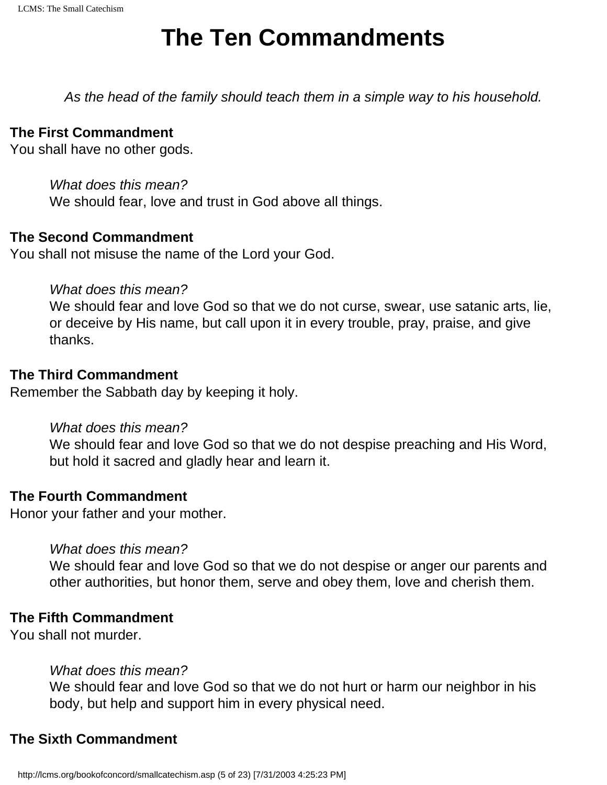## **The Ten Commandments**

*As the head of the family should teach them in a simple way to his household.*

#### **The First Commandment**

You shall have no other gods.

#### *What does this mean?*

We should fear, love and trust in God above all things.

#### **The Second Commandment**

You shall not misuse the name of the Lord your God.

#### *What does this mean?*

We should fear and love God so that we do not curse, swear, use satanic arts, lie, or deceive by His name, but call upon it in every trouble, pray, praise, and give thanks.

#### **The Third Commandment**

Remember the Sabbath day by keeping it holy.

#### *What does this mean?*

We should fear and love God so that we do not despise preaching and His Word, but hold it sacred and gladly hear and learn it.

#### **The Fourth Commandment**

Honor your father and your mother.

#### *What does this mean?*

We should fear and love God so that we do not despise or anger our parents and other authorities, but honor them, serve and obey them, love and cherish them.

#### **The Fifth Commandment**

You shall not murder.

#### *What does this mean?*

We should fear and love God so that we do not hurt or harm our neighbor in his body, but help and support him in every physical need.

## **The Sixth Commandment**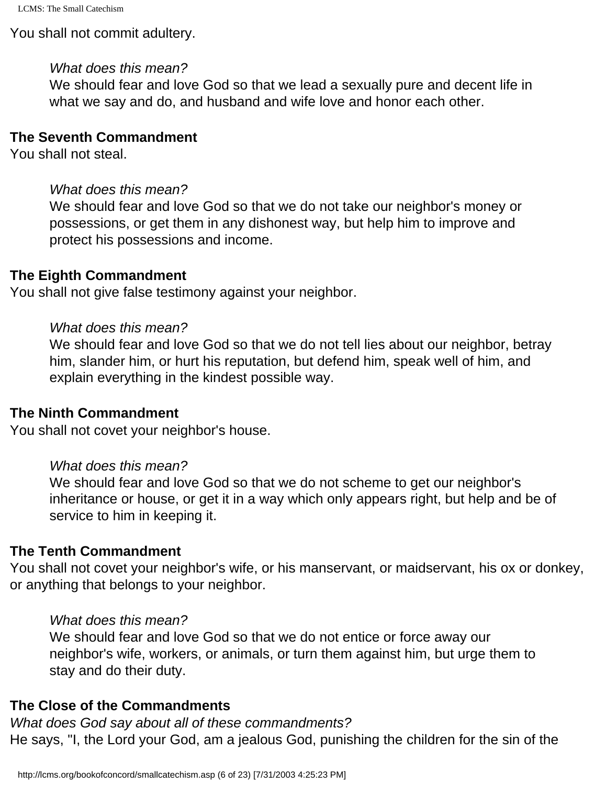You shall not commit adultery.

#### *What does this mean?*

We should fear and love God so that we lead a sexually pure and decent life in what we say and do, and husband and wife love and honor each other.

#### **The Seventh Commandment**

You shall not steal.

#### *What does this mean?*

We should fear and love God so that we do not take our neighbor's money or possessions, or get them in any dishonest way, but help him to improve and protect his possessions and income.

#### **The Eighth Commandment**

You shall not give false testimony against your neighbor.

### *What does this mean?*

We should fear and love God so that we do not tell lies about our neighbor, betray him, slander him, or hurt his reputation, but defend him, speak well of him, and explain everything in the kindest possible way.

## **The Ninth Commandment**

You shall not covet your neighbor's house.

## *What does this mean?*

We should fear and love God so that we do not scheme to get our neighbor's inheritance or house, or get it in a way which only appears right, but help and be of service to him in keeping it.

## **The Tenth Commandment**

You shall not covet your neighbor's wife, or his manservant, or maidservant, his ox or donkey, or anything that belongs to your neighbor.

## *What does this mean?*

We should fear and love God so that we do not entice or force away our neighbor's wife, workers, or animals, or turn them against him, but urge them to stay and do their duty.

## **The Close of the Commandments**

*What does God say about all of these commandments?* He says, "I, the Lord your God, am a jealous God, punishing the children for the sin of the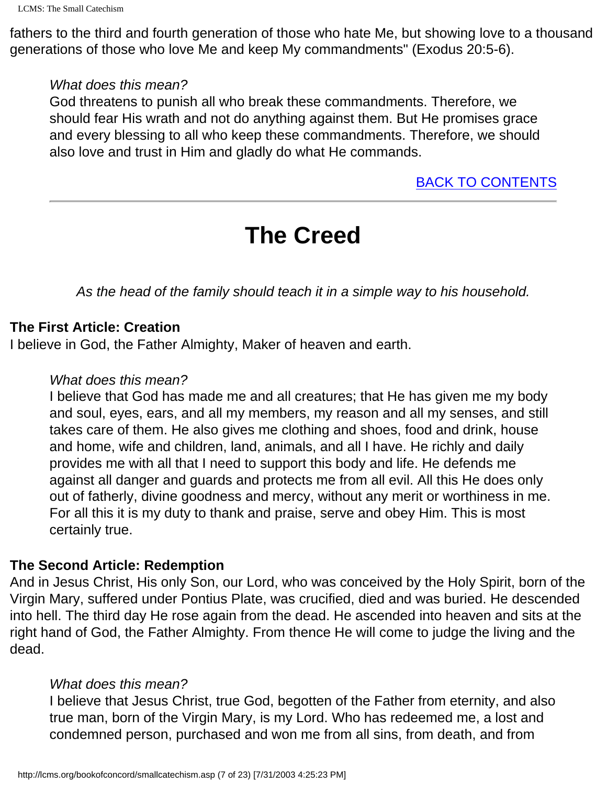fathers to the third and fourth generation of those who hate Me, but showing love to a thousand generations of those who love Me and keep My commandments" (Exodus 20:5-6).

#### *What does this mean?*

God threatens to punish all who break these commandments. Therefore, we should fear His wrath and not do anything against them. But He promises grace and every blessing to all who keep these commandments. Therefore, we should also love and trust in Him and gladly do what He commands.

[BACK TO CONTENTS](#page-0-1)

## **The Creed**

<span id="page-6-0"></span>*As the head of the family should teach it in a simple way to his household.*

#### **The First Article: Creation**

I believe in God, the Father Almighty, Maker of heaven and earth.

#### *What does this mean?*

I believe that God has made me and all creatures; that He has given me my body and soul, eyes, ears, and all my members, my reason and all my senses, and still takes care of them. He also gives me clothing and shoes, food and drink, house and home, wife and children, land, animals, and all I have. He richly and daily provides me with all that I need to support this body and life. He defends me against all danger and guards and protects me from all evil. All this He does only out of fatherly, divine goodness and mercy, without any merit or worthiness in me. For all this it is my duty to thank and praise, serve and obey Him. This is most certainly true.

#### **The Second Article: Redemption**

And in Jesus Christ, His only Son, our Lord, who was conceived by the Holy Spirit, born of the Virgin Mary, suffered under Pontius Plate, was crucified, died and was buried. He descended into hell. The third day He rose again from the dead. He ascended into heaven and sits at the right hand of God, the Father Almighty. From thence He will come to judge the living and the dead.

#### *What does this mean?*

I believe that Jesus Christ, true God, begotten of the Father from eternity, and also true man, born of the Virgin Mary, is my Lord. Who has redeemed me, a lost and condemned person, purchased and won me from all sins, from death, and from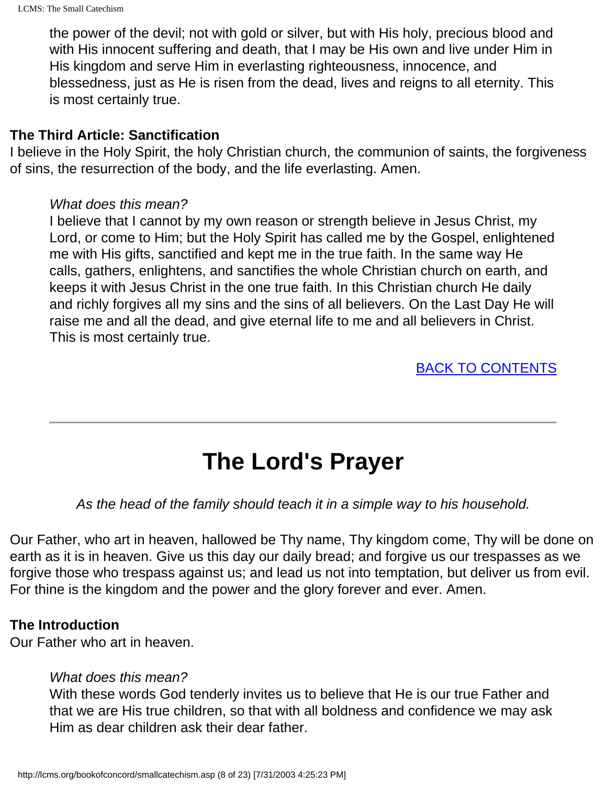the power of the devil; not with gold or silver, but with His holy, precious blood and with His innocent suffering and death, that I may be His own and live under Him in His kingdom and serve Him in everlasting righteousness, innocence, and blessedness, just as He is risen from the dead, lives and reigns to all eternity. This is most certainly true.

#### **The Third Article: Sanctification**

I believe in the Holy Spirit, the holy Christian church, the communion of saints, the forgiveness of sins, the resurrection of the body, and the life everlasting. Amen.

#### *What does this mean?*

I believe that I cannot by my own reason or strength believe in Jesus Christ, my Lord, or come to Him; but the Holy Spirit has called me by the Gospel, enlightened me with His gifts, sanctified and kept me in the true faith. In the same way He calls, gathers, enlightens, and sanctifies the whole Christian church on earth, and keeps it with Jesus Christ in the one true faith. In this Christian church He daily and richly forgives all my sins and the sins of all believers. On the Last Day He will raise me and all the dead, and give eternal life to me and all believers in Christ. This is most certainly true.

[BACK TO CONTENTS](#page-0-1)

## **The Lord's Prayer**

*As the head of the family should teach it in a simple way to his household.*

<span id="page-7-0"></span>Our Father, who art in heaven, hallowed be Thy name, Thy kingdom come, Thy will be done on earth as it is in heaven. Give us this day our daily bread; and forgive us our trespasses as we forgive those who trespass against us; and lead us not into temptation, but deliver us from evil. For thine is the kingdom and the power and the glory forever and ever. Amen.

#### **The Introduction**

Our Father who art in heaven.

#### *What does this mean?*

With these words God tenderly invites us to believe that He is our true Father and that we are His true children, so that with all boldness and confidence we may ask Him as dear children ask their dear father.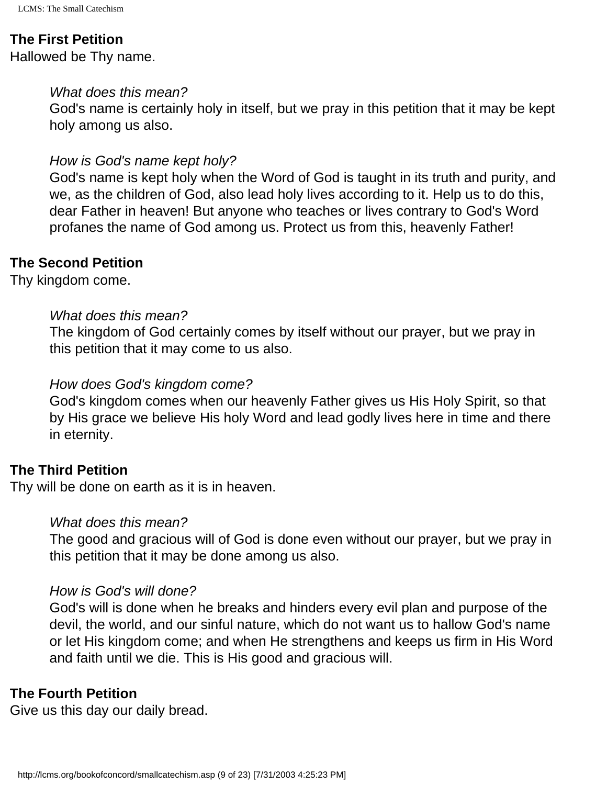LCMS: The Small Catechism

## **The First Petition**

Hallowed be Thy name.

## *What does this mean?*

God's name is certainly holy in itself, but we pray in this petition that it may be kept holy among us also.

## *How is God's name kept holy?*

God's name is kept holy when the Word of God is taught in its truth and purity, and we, as the children of God, also lead holy lives according to it. Help us to do this, dear Father in heaven! But anyone who teaches or lives contrary to God's Word profanes the name of God among us. Protect us from this, heavenly Father!

## **The Second Petition**

Thy kingdom come.

## *What does this mean?*

The kingdom of God certainly comes by itself without our prayer, but we pray in this petition that it may come to us also.

## *How does God's kingdom come?*

God's kingdom comes when our heavenly Father gives us His Holy Spirit, so that by His grace we believe His holy Word and lead godly lives here in time and there in eternity.

## **The Third Petition**

Thy will be done on earth as it is in heaven.

## *What does this mean?*

The good and gracious will of God is done even without our prayer, but we pray in this petition that it may be done among us also.

## *How is God's will done?*

God's will is done when he breaks and hinders every evil plan and purpose of the devil, the world, and our sinful nature, which do not want us to hallow God's name or let His kingdom come; and when He strengthens and keeps us firm in His Word and faith until we die. This is His good and gracious will.

## **The Fourth Petition**

Give us this day our daily bread.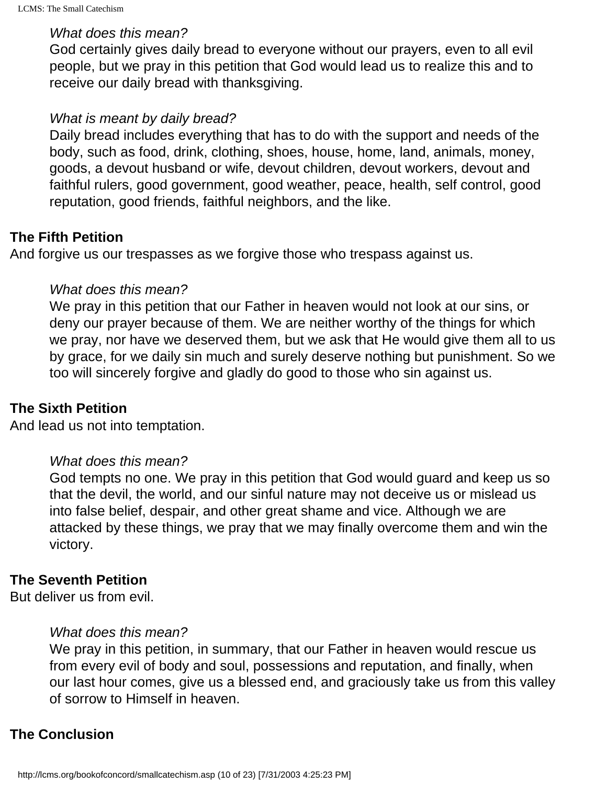#### *What does this mean?*

God certainly gives daily bread to everyone without our prayers, even to all evil people, but we pray in this petition that God would lead us to realize this and to receive our daily bread with thanksgiving.

#### *What is meant by daily bread?*

Daily bread includes everything that has to do with the support and needs of the body, such as food, drink, clothing, shoes, house, home, land, animals, money, goods, a devout husband or wife, devout children, devout workers, devout and faithful rulers, good government, good weather, peace, health, self control, good reputation, good friends, faithful neighbors, and the like.

#### **The Fifth Petition**

And forgive us our trespasses as we forgive those who trespass against us.

#### *What does this mean?*

We pray in this petition that our Father in heaven would not look at our sins, or deny our prayer because of them. We are neither worthy of the things for which we pray, nor have we deserved them, but we ask that He would give them all to us by grace, for we daily sin much and surely deserve nothing but punishment. So we too will sincerely forgive and gladly do good to those who sin against us.

#### **The Sixth Petition**

And lead us not into temptation.

#### *What does this mean?*

God tempts no one. We pray in this petition that God would guard and keep us so that the devil, the world, and our sinful nature may not deceive us or mislead us into false belief, despair, and other great shame and vice. Although we are attacked by these things, we pray that we may finally overcome them and win the victory.

#### **The Seventh Petition**

But deliver us from evil.

#### *What does this mean?*

We pray in this petition, in summary, that our Father in heaven would rescue us from every evil of body and soul, possessions and reputation, and finally, when our last hour comes, give us a blessed end, and graciously take us from this valley of sorrow to Himself in heaven.

#### **The Conclusion**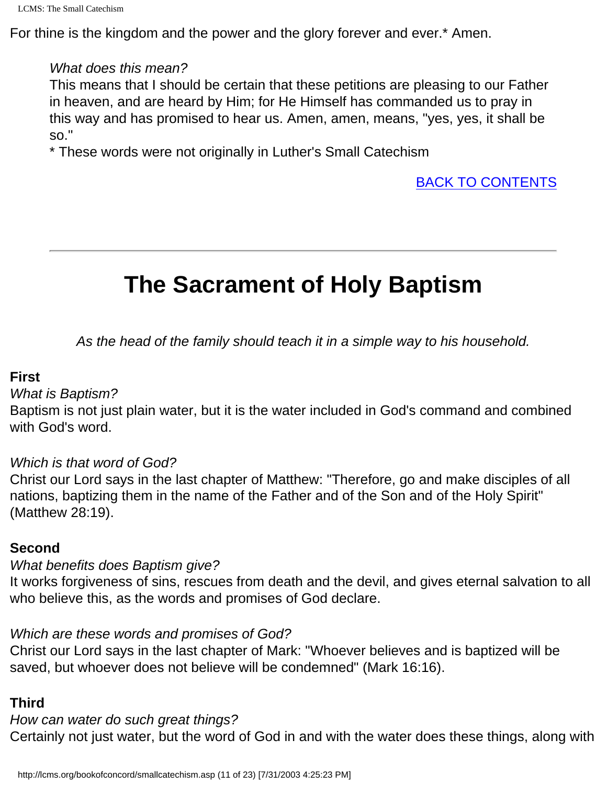For thine is the kingdom and the power and the glory forever and ever.\* Amen.

#### *What does this mean?*

This means that I should be certain that these petitions are pleasing to our Father in heaven, and are heard by Him; for He Himself has commanded us to pray in this way and has promised to hear us. Amen, amen, means, "yes, yes, it shall be so."

\* These words were not originally in Luther's Small Catechism

[BACK TO CONTENTS](#page-0-1)

## **The Sacrament of Holy Baptism**

<span id="page-10-0"></span>*As the head of the family should teach it in a simple way to his household.*

#### **First**

#### *What is Baptism?*

Baptism is not just plain water, but it is the water included in God's command and combined with God's word.

#### *Which is that word of God?*

Christ our Lord says in the last chapter of Matthew: "Therefore, go and make disciples of all nations, baptizing them in the name of the Father and of the Son and of the Holy Spirit" (Matthew 28:19).

#### **Second**

#### *What benefits does Baptism give?*

It works forgiveness of sins, rescues from death and the devil, and gives eternal salvation to all who believe this, as the words and promises of God declare.

#### *Which are these words and promises of God?*

Christ our Lord says in the last chapter of Mark: "Whoever believes and is baptized will be saved, but whoever does not believe will be condemned" (Mark 16:16).

#### **Third**

*How can water do such great things?* Certainly not just water, but the word of God in and with the water does these things, along with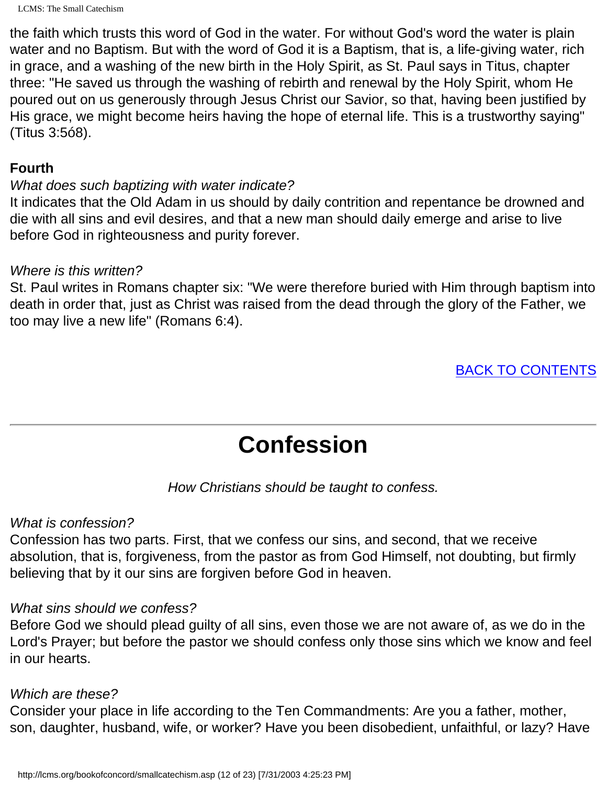the faith which trusts this word of God in the water. For without God's word the water is plain water and no Baptism. But with the word of God it is a Baptism, that is, a life-giving water, rich in grace, and a washing of the new birth in the Holy Spirit, as St. Paul says in Titus, chapter three: "He saved us through the washing of rebirth and renewal by the Holy Spirit, whom He poured out on us generously through Jesus Christ our Savior, so that, having been justified by His grace, we might become heirs having the hope of eternal life. This is a trustworthy saying" (Titus 3:5ó8).

#### **Fourth**

#### *What does such baptizing with water indicate?*

It indicates that the Old Adam in us should by daily contrition and repentance be drowned and die with all sins and evil desires, and that a new man should daily emerge and arise to live before God in righteousness and purity forever.

#### *Where is this written?*

St. Paul writes in Romans chapter six: "We were therefore buried with Him through baptism into death in order that, just as Christ was raised from the dead through the glory of the Father, we too may live a new life" (Romans 6:4).

[BACK TO CONTENTS](#page-0-1)

## **Confession**

*How Christians should be taught to confess.*

#### <span id="page-11-0"></span>*What is confession?*

Confession has two parts. First, that we confess our sins, and second, that we receive absolution, that is, forgiveness, from the pastor as from God Himself, not doubting, but firmly believing that by it our sins are forgiven before God in heaven.

#### *What sins should we confess?*

Before God we should plead guilty of all sins, even those we are not aware of, as we do in the Lord's Prayer; but before the pastor we should confess only those sins which we know and feel in our hearts.

#### *Which are these?*

Consider your place in life according to the Ten Commandments: Are you a father, mother, son, daughter, husband, wife, or worker? Have you been disobedient, unfaithful, or lazy? Have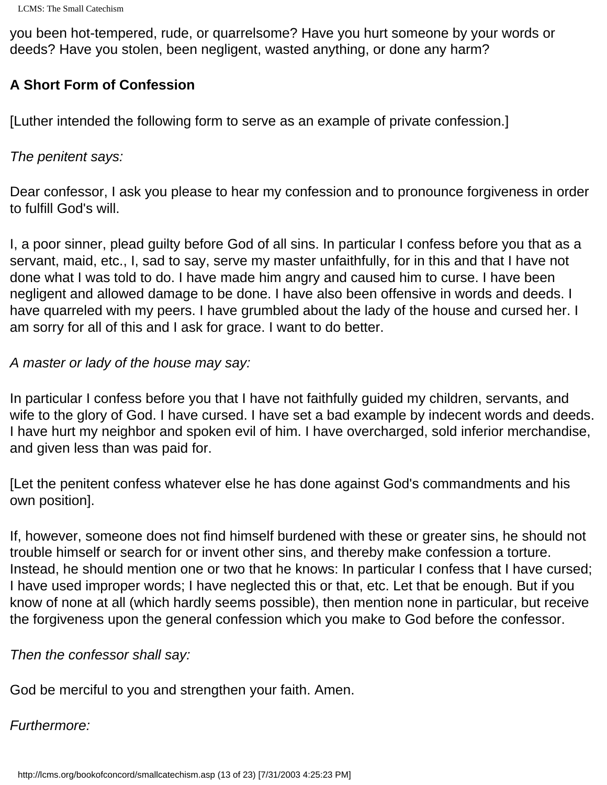you been hot-tempered, rude, or quarrelsome? Have you hurt someone by your words or deeds? Have you stolen, been negligent, wasted anything, or done any harm?

## **A Short Form of Confession**

[Luther intended the following form to serve as an example of private confession.]

#### *The penitent says:*

Dear confessor, I ask you please to hear my confession and to pronounce forgiveness in order to fulfill God's will.

I, a poor sinner, plead guilty before God of all sins. In particular I confess before you that as a servant, maid, etc., I, sad to say, serve my master unfaithfully, for in this and that I have not done what I was told to do. I have made him angry and caused him to curse. I have been negligent and allowed damage to be done. I have also been offensive in words and deeds. I have quarreled with my peers. I have grumbled about the lady of the house and cursed her. I am sorry for all of this and I ask for grace. I want to do better.

#### *A master or lady of the house may say:*

In particular I confess before you that I have not faithfully guided my children, servants, and wife to the glory of God. I have cursed. I have set a bad example by indecent words and deeds. I have hurt my neighbor and spoken evil of him. I have overcharged, sold inferior merchandise, and given less than was paid for.

[Let the penitent confess whatever else he has done against God's commandments and his own position].

If, however, someone does not find himself burdened with these or greater sins, he should not trouble himself or search for or invent other sins, and thereby make confession a torture. Instead, he should mention one or two that he knows: In particular I confess that I have cursed; I have used improper words; I have neglected this or that, etc. Let that be enough. But if you know of none at all (which hardly seems possible), then mention none in particular, but receive the forgiveness upon the general confession which you make to God before the confessor.

#### *Then the confessor shall say:*

God be merciful to you and strengthen your faith. Amen.

*Furthermore:*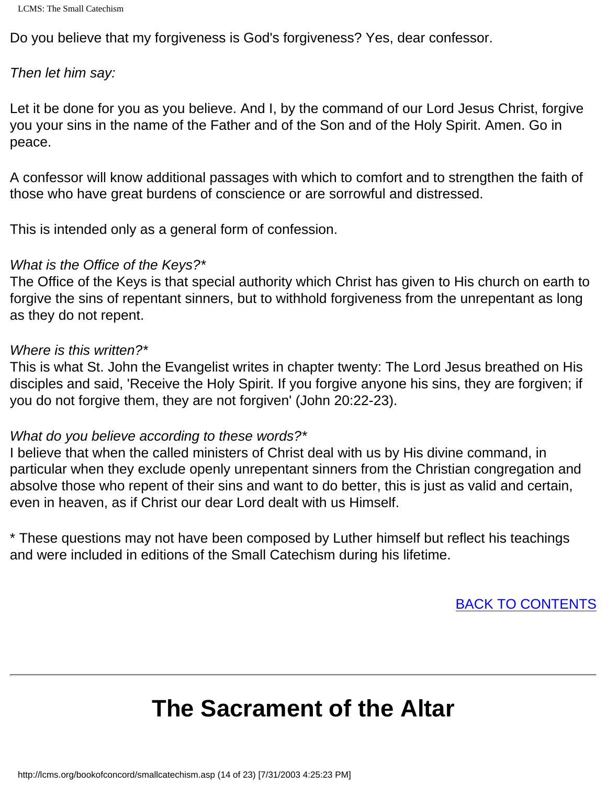Do you believe that my forgiveness is God's forgiveness? Yes, dear confessor.

#### *Then let him say:*

Let it be done for you as you believe. And I, by the command of our Lord Jesus Christ, forgive you your sins in the name of the Father and of the Son and of the Holy Spirit. Amen. Go in peace.

A confessor will know additional passages with which to comfort and to strengthen the faith of those who have great burdens of conscience or are sorrowful and distressed.

This is intended only as a general form of confession.

#### *What is the Office of the Keys?\**

The Office of the Keys is that special authority which Christ has given to His church on earth to forgive the sins of repentant sinners, but to withhold forgiveness from the unrepentant as long as they do not repent.

#### *Where is this written?\**

This is what St. John the Evangelist writes in chapter twenty: The Lord Jesus breathed on His disciples and said, 'Receive the Holy Spirit. If you forgive anyone his sins, they are forgiven; if you do not forgive them, they are not forgiven' (John 20:22-23).

#### *What do you believe according to these words?\**

I believe that when the called ministers of Christ deal with us by His divine command, in particular when they exclude openly unrepentant sinners from the Christian congregation and absolve those who repent of their sins and want to do better, this is just as valid and certain, even in heaven, as if Christ our dear Lord dealt with us Himself.

\* These questions may not have been composed by Luther himself but reflect his teachings and were included in editions of the Small Catechism during his lifetime.

[BACK TO CONTENTS](#page-0-1)

## <span id="page-13-0"></span>**The Sacrament of the Altar**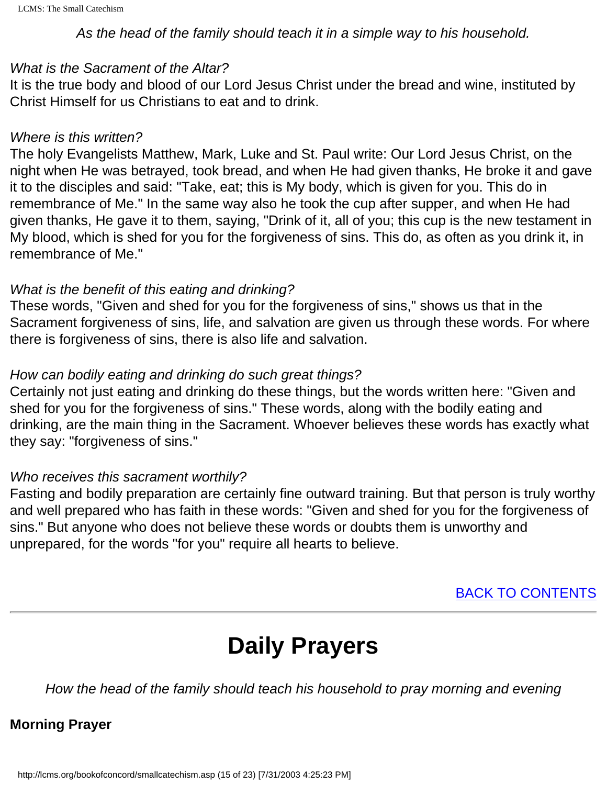*As the head of the family should teach it in a simple way to his household.*

#### *What is the Sacrament of the Altar?*

It is the true body and blood of our Lord Jesus Christ under the bread and wine, instituted by Christ Himself for us Christians to eat and to drink.

#### *Where is this written?*

The holy Evangelists Matthew, Mark, Luke and St. Paul write: Our Lord Jesus Christ, on the night when He was betrayed, took bread, and when He had given thanks, He broke it and gave it to the disciples and said: "Take, eat; this is My body, which is given for you. This do in remembrance of Me." In the same way also he took the cup after supper, and when He had given thanks, He gave it to them, saying, "Drink of it, all of you; this cup is the new testament in My blood, which is shed for you for the forgiveness of sins. This do, as often as you drink it, in remembrance of Me."

### *What is the benefit of this eating and drinking?*

These words, "Given and shed for you for the forgiveness of sins," shows us that in the Sacrament forgiveness of sins, life, and salvation are given us through these words. For where there is forgiveness of sins, there is also life and salvation.

#### *How can bodily eating and drinking do such great things?*

Certainly not just eating and drinking do these things, but the words written here: "Given and shed for you for the forgiveness of sins." These words, along with the bodily eating and drinking, are the main thing in the Sacrament. Whoever believes these words has exactly what they say: "forgiveness of sins."

#### *Who receives this sacrament worthily?*

Fasting and bodily preparation are certainly fine outward training. But that person is truly worthy and well prepared who has faith in these words: "Given and shed for you for the forgiveness of sins." But anyone who does not believe these words or doubts them is unworthy and unprepared, for the words "for you" require all hearts to believe.

## [BACK TO CONTENTS](#page-0-1)

## **Daily Prayers**

<span id="page-14-0"></span>*How the head of the family should teach his household to pray morning and evening*

## **Morning Prayer**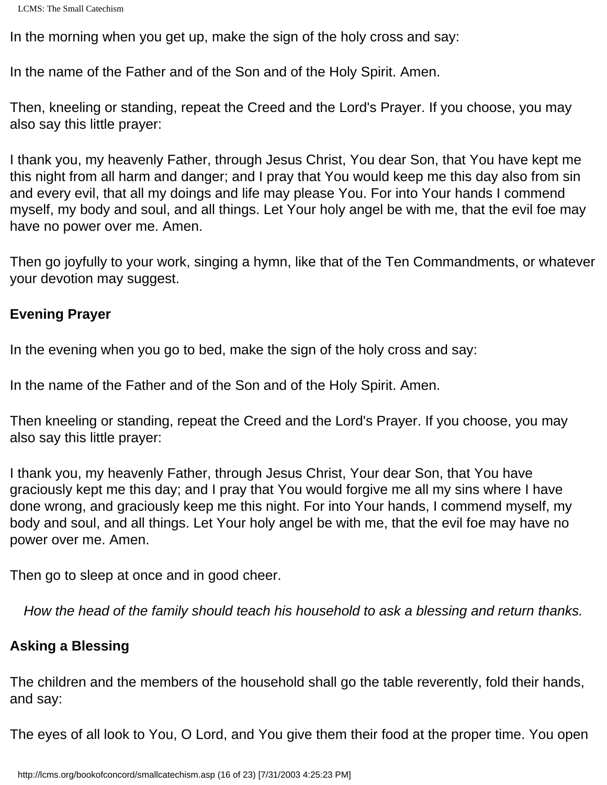In the morning when you get up, make the sign of the holy cross and say:

In the name of the Father and of the Son and of the Holy Spirit. Amen.

Then, kneeling or standing, repeat the Creed and the Lord's Prayer. If you choose, you may also say this little prayer:

I thank you, my heavenly Father, through Jesus Christ, You dear Son, that You have kept me this night from all harm and danger; and I pray that You would keep me this day also from sin and every evil, that all my doings and life may please You. For into Your hands I commend myself, my body and soul, and all things. Let Your holy angel be with me, that the evil foe may have no power over me. Amen.

Then go joyfully to your work, singing a hymn, like that of the Ten Commandments, or whatever your devotion may suggest.

### **Evening Prayer**

In the evening when you go to bed, make the sign of the holy cross and say:

In the name of the Father and of the Son and of the Holy Spirit. Amen.

Then kneeling or standing, repeat the Creed and the Lord's Prayer. If you choose, you may also say this little prayer:

I thank you, my heavenly Father, through Jesus Christ, Your dear Son, that You have graciously kept me this day; and I pray that You would forgive me all my sins where I have done wrong, and graciously keep me this night. For into Your hands, I commend myself, my body and soul, and all things. Let Your holy angel be with me, that the evil foe may have no power over me. Amen.

Then go to sleep at once and in good cheer.

*How the head of the family should teach his household to ask a blessing and return thanks.*

## **Asking a Blessing**

The children and the members of the household shall go the table reverently, fold their hands, and say:

The eyes of all look to You, O Lord, and You give them their food at the proper time. You open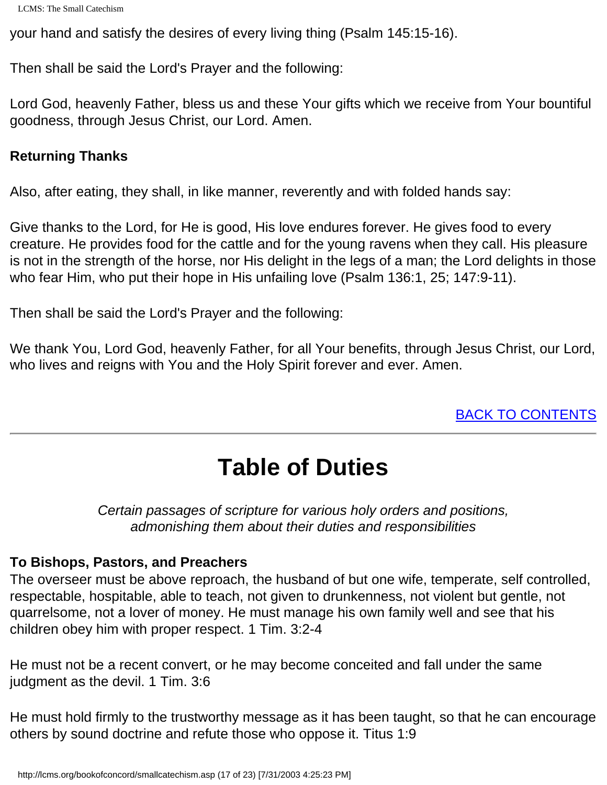your hand and satisfy the desires of every living thing (Psalm 145:15-16).

Then shall be said the Lord's Prayer and the following:

Lord God, heavenly Father, bless us and these Your gifts which we receive from Your bountiful goodness, through Jesus Christ, our Lord. Amen.

#### **Returning Thanks**

Also, after eating, they shall, in like manner, reverently and with folded hands say:

Give thanks to the Lord, for He is good, His love endures forever. He gives food to every creature. He provides food for the cattle and for the young ravens when they call. His pleasure is not in the strength of the horse, nor His delight in the legs of a man; the Lord delights in those who fear Him, who put their hope in His unfailing love (Psalm 136:1, 25; 147:9-11).

Then shall be said the Lord's Prayer and the following:

We thank You, Lord God, heavenly Father, for all Your benefits, through Jesus Christ, our Lord, who lives and reigns with You and the Holy Spirit forever and ever. Amen.

## [BACK TO CONTENTS](#page-0-1)

## **Table of Duties**

*Certain passages of scripture for various holy orders and positions, admonishing them about their duties and responsibilities*

#### <span id="page-16-0"></span>**To Bishops, Pastors, and Preachers**

The overseer must be above reproach, the husband of but one wife, temperate, self controlled, respectable, hospitable, able to teach, not given to drunkenness, not violent but gentle, not quarrelsome, not a lover of money. He must manage his own family well and see that his children obey him with proper respect. 1 Tim. 3:2-4

He must not be a recent convert, or he may become conceited and fall under the same judgment as the devil. 1 Tim. 3:6

He must hold firmly to the trustworthy message as it has been taught, so that he can encourage others by sound doctrine and refute those who oppose it. Titus 1:9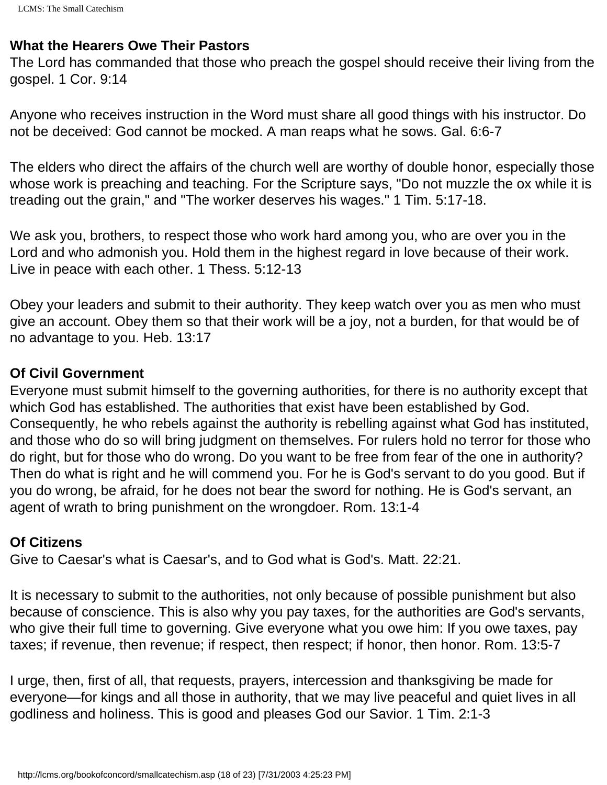#### **What the Hearers Owe Their Pastors**

The Lord has commanded that those who preach the gospel should receive their living from the gospel. 1 Cor. 9:14

Anyone who receives instruction in the Word must share all good things with his instructor. Do not be deceived: God cannot be mocked. A man reaps what he sows. Gal. 6:6-7

The elders who direct the affairs of the church well are worthy of double honor, especially those whose work is preaching and teaching. For the Scripture says, "Do not muzzle the ox while it is treading out the grain," and "The worker deserves his wages." 1 Tim. 5:17-18.

We ask you, brothers, to respect those who work hard among you, who are over you in the Lord and who admonish you. Hold them in the highest regard in love because of their work. Live in peace with each other. 1 Thess. 5:12-13

Obey your leaders and submit to their authority. They keep watch over you as men who must give an account. Obey them so that their work will be a joy, not a burden, for that would be of no advantage to you. Heb. 13:17

#### **Of Civil Government**

Everyone must submit himself to the governing authorities, for there is no authority except that which God has established. The authorities that exist have been established by God. Consequently, he who rebels against the authority is rebelling against what God has instituted, and those who do so will bring judgment on themselves. For rulers hold no terror for those who do right, but for those who do wrong. Do you want to be free from fear of the one in authority? Then do what is right and he will commend you. For he is God's servant to do you good. But if you do wrong, be afraid, for he does not bear the sword for nothing. He is God's servant, an agent of wrath to bring punishment on the wrongdoer. Rom. 13:1-4

#### **Of Citizens**

Give to Caesar's what is Caesar's, and to God what is God's. Matt. 22:21.

It is necessary to submit to the authorities, not only because of possible punishment but also because of conscience. This is also why you pay taxes, for the authorities are God's servants, who give their full time to governing. Give everyone what you owe him: If you owe taxes, pay taxes; if revenue, then revenue; if respect, then respect; if honor, then honor. Rom. 13:5-7

I urge, then, first of all, that requests, prayers, intercession and thanksgiving be made for everyone—for kings and all those in authority, that we may live peaceful and quiet lives in all godliness and holiness. This is good and pleases God our Savior. 1 Tim. 2:1-3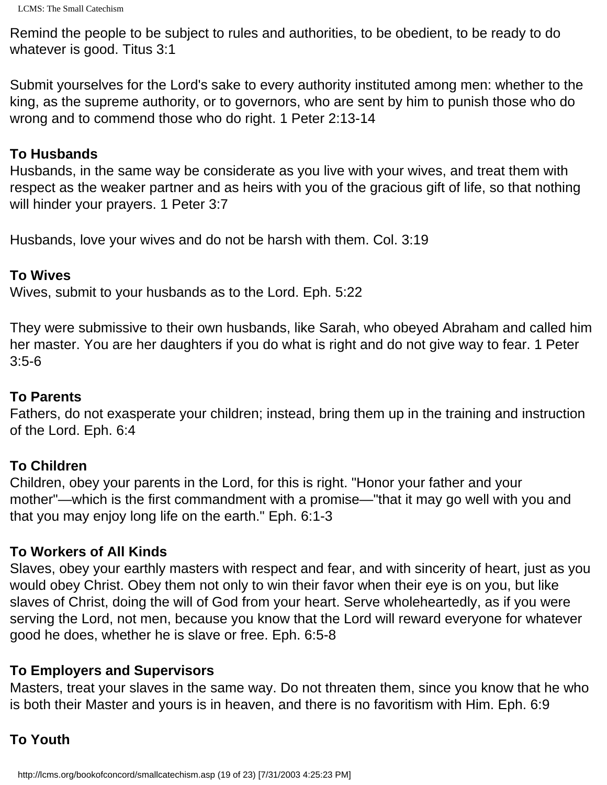Remind the people to be subject to rules and authorities, to be obedient, to be ready to do whatever is good. Titus 3:1

Submit yourselves for the Lord's sake to every authority instituted among men: whether to the king, as the supreme authority, or to governors, who are sent by him to punish those who do wrong and to commend those who do right. 1 Peter 2:13-14

#### **To Husbands**

Husbands, in the same way be considerate as you live with your wives, and treat them with respect as the weaker partner and as heirs with you of the gracious gift of life, so that nothing will hinder your prayers. 1 Peter 3:7

Husbands, love your wives and do not be harsh with them. Col. 3:19

#### **To Wives**

Wives, submit to your husbands as to the Lord. Eph. 5:22

They were submissive to their own husbands, like Sarah, who obeyed Abraham and called him her master. You are her daughters if you do what is right and do not give way to fear. 1 Peter 3:5-6

#### **To Parents**

Fathers, do not exasperate your children; instead, bring them up in the training and instruction of the Lord. Eph. 6:4

#### **To Children**

Children, obey your parents in the Lord, for this is right. "Honor your father and your mother"—which is the first commandment with a promise—"that it may go well with you and that you may enjoy long life on the earth." Eph. 6:1-3

#### **To Workers of All Kinds**

Slaves, obey your earthly masters with respect and fear, and with sincerity of heart, just as you would obey Christ. Obey them not only to win their favor when their eye is on you, but like slaves of Christ, doing the will of God from your heart. Serve wholeheartedly, as if you were serving the Lord, not men, because you know that the Lord will reward everyone for whatever good he does, whether he is slave or free. Eph. 6:5-8

#### **To Employers and Supervisors**

Masters, treat your slaves in the same way. Do not threaten them, since you know that he who is both their Master and yours is in heaven, and there is no favoritism with Him. Eph. 6:9

## **To Youth**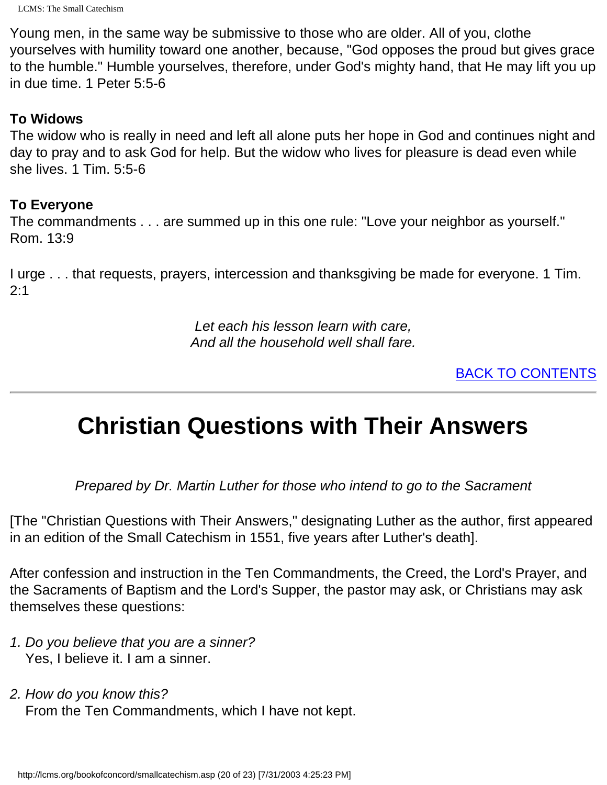Young men, in the same way be submissive to those who are older. All of you, clothe yourselves with humility toward one another, because, "God opposes the proud but gives grace to the humble." Humble yourselves, therefore, under God's mighty hand, that He may lift you up in due time. 1 Peter 5:5-6

#### **To Widows**

The widow who is really in need and left all alone puts her hope in God and continues night and day to pray and to ask God for help. But the widow who lives for pleasure is dead even while she lives. 1 Tim. 5:5-6

#### **To Everyone**

The commandments . . . are summed up in this one rule: "Love your neighbor as yourself." Rom. 13:9

I urge . . . that requests, prayers, intercession and thanksgiving be made for everyone. 1 Tim. 2:1

> *Let each his lesson learn with care, And all the household well shall fare.*

## [BACK TO CONTENTS](#page-0-1)

## <span id="page-19-0"></span>**Christian Questions with Their Answers**

*Prepared by Dr. Martin Luther for those who intend to go to the Sacrament*

[The "Christian Questions with Their Answers," designating Luther as the author, first appeared in an edition of the Small Catechism in 1551, five years after Luther's death].

After confession and instruction in the Ten Commandments, the Creed, the Lord's Prayer, and the Sacraments of Baptism and the Lord's Supper, the pastor may ask, or Christians may ask themselves these questions:

- *1. Do you believe that you are a sinner?* Yes, I believe it. I am a sinner.
- *2. How do you know this?* From the Ten Commandments, which I have not kept.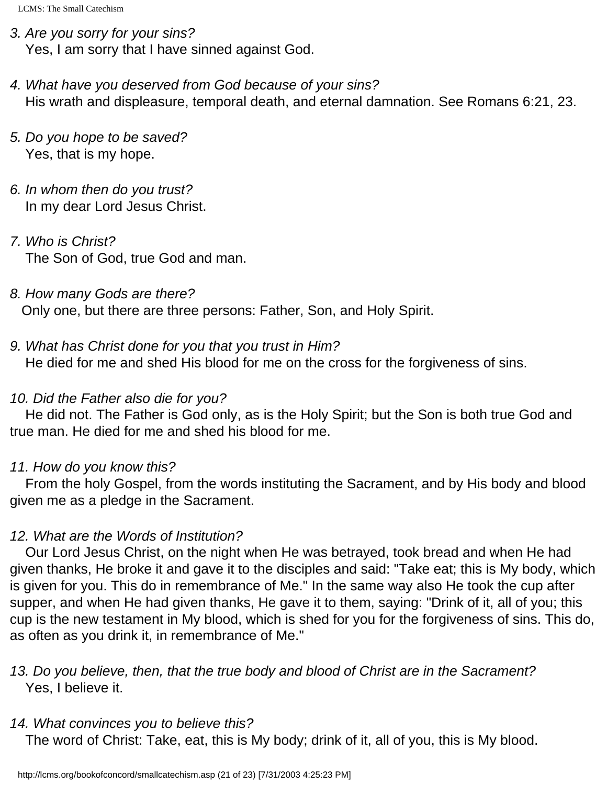LCMS: The Small Catechism

- *3. Are you sorry for your sins?* Yes, I am sorry that I have sinned against God.
- *4. What have you deserved from God because of your sins?* His wrath and displeasure, temporal death, and eternal damnation. See Romans 6:21, 23.
- *5. Do you hope to be saved?* Yes, that is my hope.
- *6. In whom then do you trust?* In my dear Lord Jesus Christ.
- *7. Who is Christ?* The Son of God, true God and man.
- *8. How many Gods are there?* **Only one, but there are three persons: Father, Son, and Holy Spirit.**
- *9. What has Christ done for you that you trust in Him?* He died for me and shed His blood for me on the cross for the forgiveness of sins.

### *10. Did the Father also die for you?*

 He did not. The Father is God only, as is the Holy Spirit; but the Son is both true God and true man. He died for me and shed his blood for me.

## *11. How do you know this?*

 From the holy Gospel, from the words instituting the Sacrament, and by His body and blood given me as a pledge in the Sacrament.

## *12. What are the Words of Institution?*

 Our Lord Jesus Christ, on the night when He was betrayed, took bread and when He had given thanks, He broke it and gave it to the disciples and said: "Take eat; this is My body, which is given for you. This do in remembrance of Me." In the same way also He took the cup after supper, and when He had given thanks, He gave it to them, saying: "Drink of it, all of you; this cup is the new testament in My blood, which is shed for you for the forgiveness of sins. This do, as often as you drink it, in remembrance of Me."

## *13. Do you believe, then, that the true body and blood of Christ are in the Sacrament?* Yes, I believe it.

#### *14. What convinces you to believe this?*

The word of Christ: Take, eat, this is My body; drink of it, all of you, this is My blood.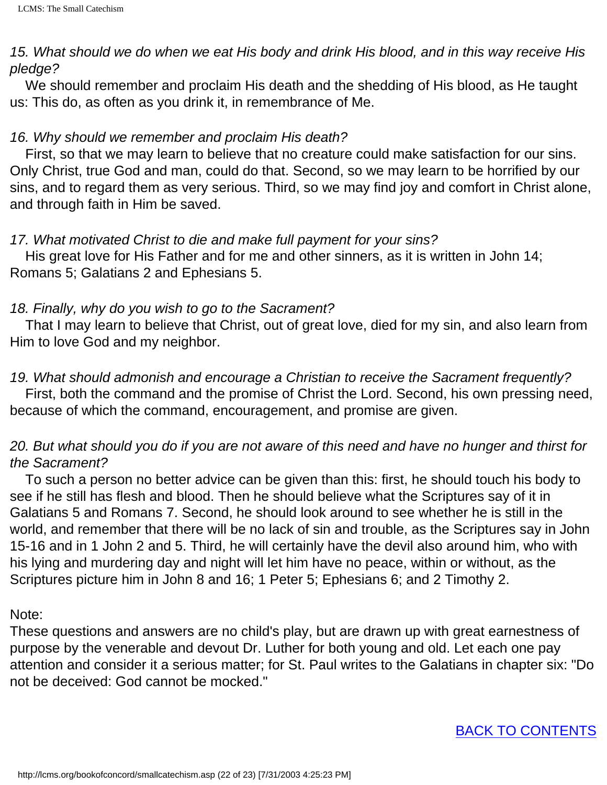### *15. What should we do when we eat His body and drink His blood, and in this way receive His pledge?*

 We should remember and proclaim His death and the shedding of His blood, as He taught us: This do, as often as you drink it, in remembrance of Me.

#### *16. Why should we remember and proclaim His death?*

 First, so that we may learn to believe that no creature could make satisfaction for our sins. Only Christ, true God and man, could do that. Second, so we may learn to be horrified by our sins, and to regard them as very serious. Third, so we may find joy and comfort in Christ alone, and through faith in Him be saved.

### *17. What motivated Christ to die and make full payment for your sins?*

 His great love for His Father and for me and other sinners, as it is written in John 14; Romans 5; Galatians 2 and Ephesians 5.

### *18. Finally, why do you wish to go to the Sacrament?*

 That I may learn to believe that Christ, out of great love, died for my sin, and also learn from Him to love God and my neighbor.

## *19. What should admonish and encourage a Christian to receive the Sacrament frequently?*

 First, both the command and the promise of Christ the Lord. Second, his own pressing need, because of which the command, encouragement, and promise are given.

## *20. But what should you do if you are not aware of this need and have no hunger and thirst for the Sacrament?*

 To such a person no better advice can be given than this: first, he should touch his body to see if he still has flesh and blood. Then he should believe what the Scriptures say of it in Galatians 5 and Romans 7. Second, he should look around to see whether he is still in the world, and remember that there will be no lack of sin and trouble, as the Scriptures say in John 15-16 and in 1 John 2 and 5. Third, he will certainly have the devil also around him, who with his lying and murdering day and night will let him have no peace, within or without, as the Scriptures picture him in John 8 and 16; 1 Peter 5; Ephesians 6; and 2 Timothy 2.

#### Note:

These questions and answers are no child's play, but are drawn up with great earnestness of purpose by the venerable and devout Dr. Luther for both young and old. Let each one pay attention and consider it a serious matter; for St. Paul writes to the Galatians in chapter six: "Do not be deceived: God cannot be mocked."